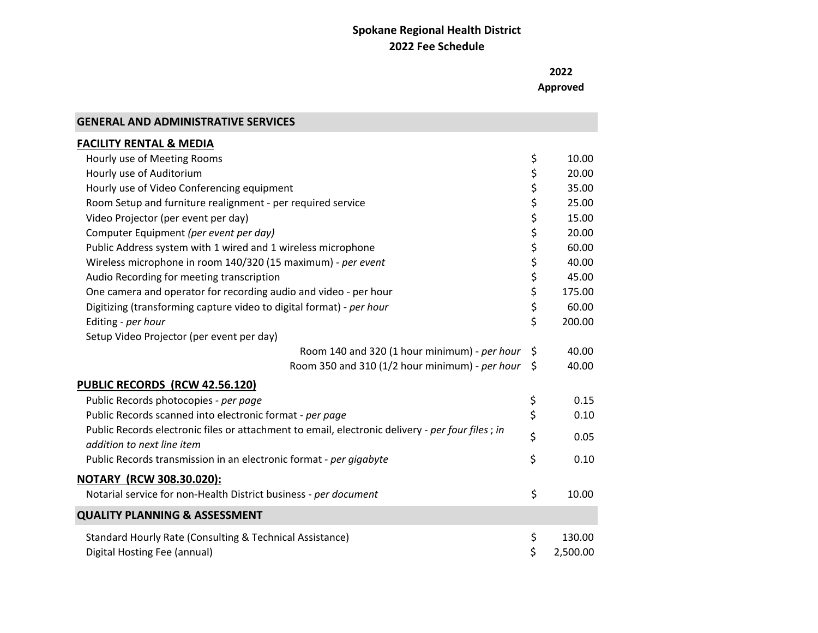**2022 Approved** 

| <b>GENERAL AND ADMINISTRATIVE SERVICES</b>                                                                                     |                |
|--------------------------------------------------------------------------------------------------------------------------------|----------------|
| <b>FACILITY RENTAL &amp; MEDIA</b>                                                                                             |                |
| Hourly use of Meeting Rooms                                                                                                    | \$<br>10.00    |
| Hourly use of Auditorium                                                                                                       | \$<br>20.00    |
| Hourly use of Video Conferencing equipment                                                                                     | \$<br>35.00    |
| Room Setup and furniture realignment - per required service                                                                    | \$<br>25.00    |
| Video Projector (per event per day)                                                                                            | \$<br>15.00    |
| Computer Equipment (per event per day)                                                                                         | \$<br>20.00    |
| Public Address system with 1 wired and 1 wireless microphone                                                                   | \$<br>60.00    |
| Wireless microphone in room 140/320 (15 maximum) - per event                                                                   | \$<br>40.00    |
| Audio Recording for meeting transcription                                                                                      | \$<br>45.00    |
| One camera and operator for recording audio and video - per hour                                                               | \$<br>175.00   |
| Digitizing (transforming capture video to digital format) - per hour                                                           | \$<br>60.00    |
| Editing - per hour                                                                                                             | \$<br>200.00   |
| Setup Video Projector (per event per day)                                                                                      |                |
| Room 140 and 320 (1 hour minimum) - per hour                                                                                   | \$<br>40.00    |
| Room 350 and 310 (1/2 hour minimum) - per hour                                                                                 | \$<br>40.00    |
| PUBLIC RECORDS (RCW 42.56.120)                                                                                                 |                |
| Public Records photocopies - per page                                                                                          | \$<br>0.15     |
| Public Records scanned into electronic format - per page                                                                       | \$<br>0.10     |
| Public Records electronic files or attachment to email, electronic delivery - per four files; in<br>addition to next line item | \$<br>0.05     |
| Public Records transmission in an electronic format - per gigabyte                                                             | \$<br>0.10     |
| NOTARY (RCW 308.30.020):                                                                                                       |                |
| Notarial service for non-Health District business - per document                                                               | \$<br>10.00    |
| <b>QUALITY PLANNING &amp; ASSESSMENT</b>                                                                                       |                |
| Standard Hourly Rate (Consulting & Technical Assistance)                                                                       | \$<br>130.00   |
| Digital Hosting Fee (annual)                                                                                                   | \$<br>2,500.00 |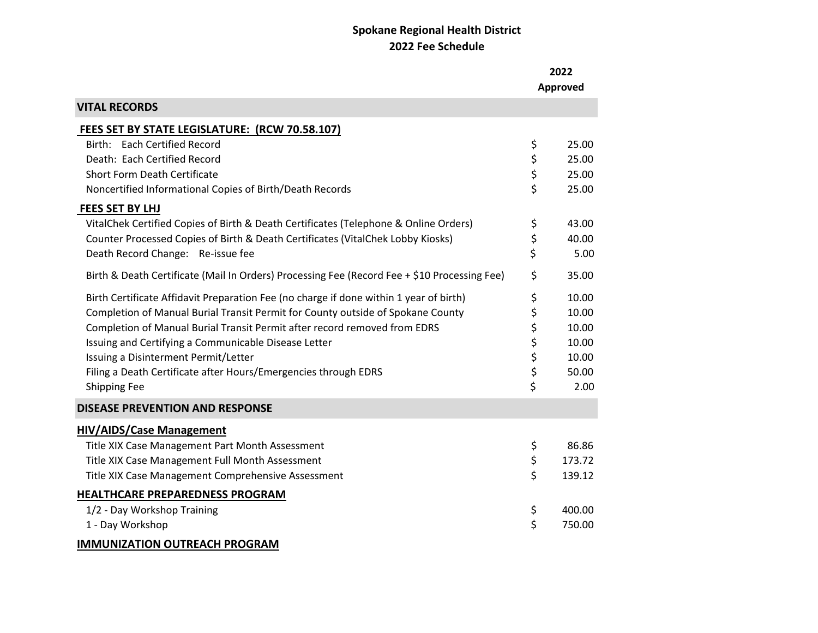|                                                                                              | 2022<br>Approved |
|----------------------------------------------------------------------------------------------|------------------|
| <b>VITAL RECORDS</b>                                                                         |                  |
| FEES SET BY STATE LEGISLATURE: (RCW 70.58.107)                                               |                  |
| Birth: Each Certified Record                                                                 | \$<br>25.00      |
| Death: Each Certified Record                                                                 | \$<br>25.00      |
| <b>Short Form Death Certificate</b>                                                          | \$<br>25.00      |
| Noncertified Informational Copies of Birth/Death Records                                     | \$<br>25.00      |
| <b>FEES SET BY LHJ</b>                                                                       |                  |
| VitalChek Certified Copies of Birth & Death Certificates (Telephone & Online Orders)         | \$<br>43.00      |
| Counter Processed Copies of Birth & Death Certificates (VitalChek Lobby Kiosks)              | \$<br>40.00      |
| Death Record Change: Re-issue fee                                                            | \$<br>5.00       |
| Birth & Death Certificate (Mail In Orders) Processing Fee (Record Fee + \$10 Processing Fee) | \$<br>35.00      |
| Birth Certificate Affidavit Preparation Fee (no charge if done within 1 year of birth)       | \$<br>10.00      |
| Completion of Manual Burial Transit Permit for County outside of Spokane County              | \$<br>10.00      |
| Completion of Manual Burial Transit Permit after record removed from EDRS                    | \$<br>10.00      |
| Issuing and Certifying a Communicable Disease Letter                                         | \$<br>10.00      |
| Issuing a Disinterment Permit/Letter                                                         | \$<br>10.00      |
| Filing a Death Certificate after Hours/Emergencies through EDRS                              | \$<br>50.00      |
| Shipping Fee                                                                                 | \$<br>2.00       |
| <b>DISEASE PREVENTION AND RESPONSE</b>                                                       |                  |
| <b>HIV/AIDS/Case Management</b>                                                              |                  |
| Title XIX Case Management Part Month Assessment                                              | \$<br>86.86      |
| Title XIX Case Management Full Month Assessment                                              | \$<br>173.72     |
| Title XIX Case Management Comprehensive Assessment                                           | \$<br>139.12     |
| HEALTHCARE PREPAREDNESS PROGRAM                                                              |                  |
| 1/2 - Day Workshop Training                                                                  | \$<br>400.00     |
| 1 - Day Workshop                                                                             | \$<br>750.00     |
| <b>IMMUNIZATION OUTREACH PROGRAM</b>                                                         |                  |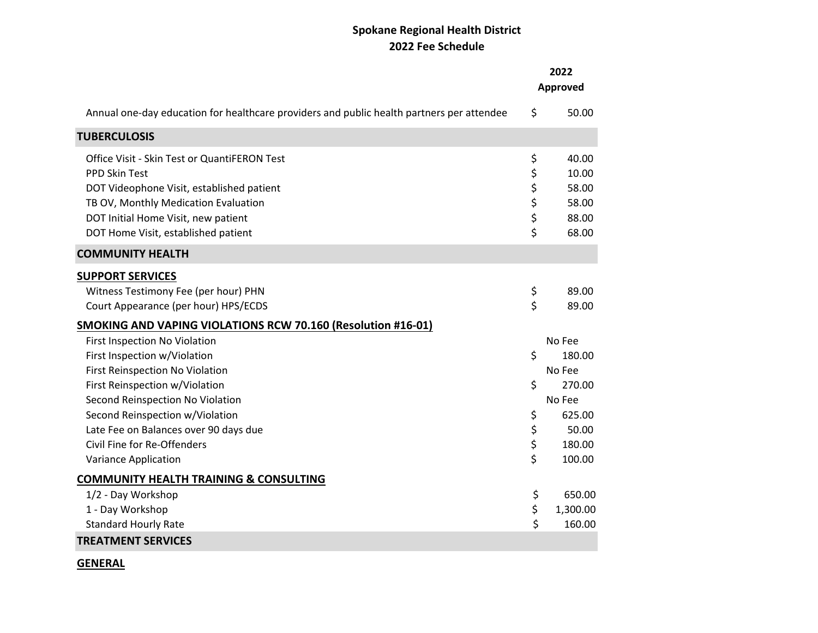|                                                                                           | 2022<br>Approved |
|-------------------------------------------------------------------------------------------|------------------|
| Annual one-day education for healthcare providers and public health partners per attendee | \$<br>50.00      |
| <b>TUBERCULOSIS</b>                                                                       |                  |
| Office Visit - Skin Test or QuantiFERON Test                                              | \$<br>40.00      |
| PPD Skin Test                                                                             | \$<br>10.00      |
| DOT Videophone Visit, established patient                                                 | \$<br>58.00      |
| TB OV, Monthly Medication Evaluation                                                      | \$<br>58.00      |
| DOT Initial Home Visit, new patient                                                       | \$<br>88.00      |
| DOT Home Visit, established patient                                                       | \$<br>68.00      |
| <b>COMMUNITY HEALTH</b>                                                                   |                  |
| <b>SUPPORT SERVICES</b>                                                                   |                  |
| Witness Testimony Fee (per hour) PHN                                                      | \$<br>89.00      |
| Court Appearance (per hour) HPS/ECDS                                                      | \$<br>89.00      |
| SMOKING AND VAPING VIOLATIONS RCW 70.160 (Resolution #16-01)                              |                  |
| First Inspection No Violation                                                             | No Fee           |
| First Inspection w/Violation                                                              | \$<br>180.00     |
| First Reinspection No Violation                                                           | No Fee           |
| First Reinspection w/Violation                                                            | \$<br>270.00     |
| Second Reinspection No Violation                                                          | No Fee           |
| Second Reinspection w/Violation                                                           | \$<br>625.00     |
| Late Fee on Balances over 90 days due                                                     | \$<br>50.00      |
| Civil Fine for Re-Offenders                                                               | \$<br>180.00     |
| Variance Application                                                                      | \$<br>100.00     |
| <b>COMMUNITY HEALTH TRAINING &amp; CONSULTING</b>                                         |                  |
| 1/2 - Day Workshop                                                                        | \$<br>650.00     |
| 1 - Day Workshop                                                                          | \$<br>1,300.00   |
| <b>Standard Hourly Rate</b>                                                               | \$<br>160.00     |
| <b>TREATMENT SERVICES</b>                                                                 |                  |

**GENERAL**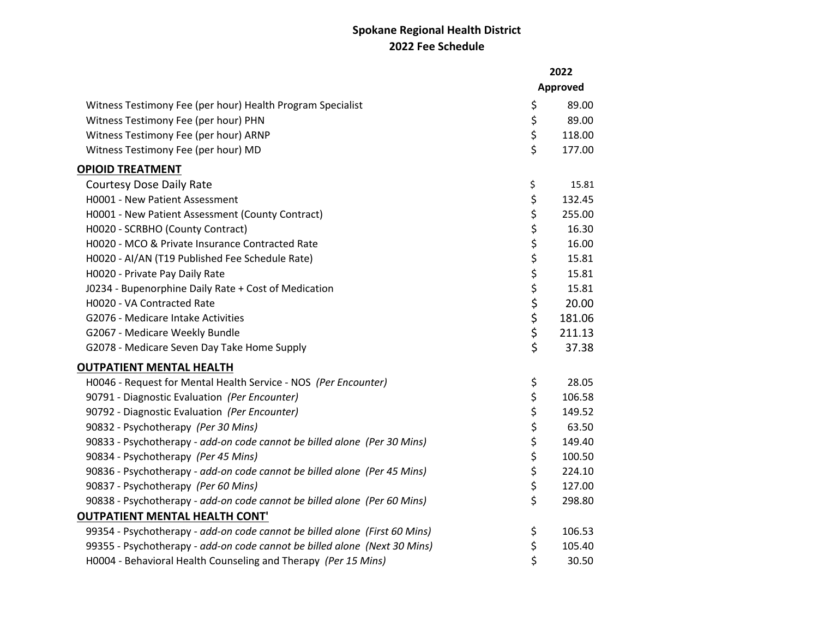|                                                                            | 2022   |          |
|----------------------------------------------------------------------------|--------|----------|
|                                                                            |        | Approved |
| Witness Testimony Fee (per hour) Health Program Specialist                 | \$     | 89.00    |
| Witness Testimony Fee (per hour) PHN                                       | \$     | 89.00    |
| Witness Testimony Fee (per hour) ARNP                                      | \$     | 118.00   |
| Witness Testimony Fee (per hour) MD                                        | \$     | 177.00   |
| <b>OPIOID TREATMENT</b>                                                    |        |          |
| <b>Courtesy Dose Daily Rate</b>                                            | \$     | 15.81    |
| H0001 - New Patient Assessment                                             | \$     | 132.45   |
| H0001 - New Patient Assessment (County Contract)                           | \$     | 255.00   |
| H0020 - SCRBHO (County Contract)                                           | \$     | 16.30    |
| H0020 - MCO & Private Insurance Contracted Rate                            | \$     | 16.00    |
| H0020 - AI/AN (T19 Published Fee Schedule Rate)                            | \$     | 15.81    |
| H0020 - Private Pay Daily Rate                                             | \$     | 15.81    |
| J0234 - Bupenorphine Daily Rate + Cost of Medication                       |        | 15.81    |
| H0020 - VA Contracted Rate                                                 | \$\$\$ | 20.00    |
| G2076 - Medicare Intake Activities                                         |        | 181.06   |
| G2067 - Medicare Weekly Bundle                                             | \$     | 211.13   |
| G2078 - Medicare Seven Day Take Home Supply                                | \$     | 37.38    |
| <b>OUTPATIENT MENTAL HEALTH</b>                                            |        |          |
| H0046 - Request for Mental Health Service - NOS (Per Encounter)            | \$     | 28.05    |
| 90791 - Diagnostic Evaluation (Per Encounter)                              | \$     | 106.58   |
| 90792 - Diagnostic Evaluation (Per Encounter)                              | \$     | 149.52   |
| 90832 - Psychotherapy (Per 30 Mins)                                        | \$     | 63.50    |
| 90833 - Psychotherapy - add-on code cannot be billed alone (Per 30 Mins)   | \$     | 149.40   |
| 90834 - Psychotherapy (Per 45 Mins)                                        | \$     | 100.50   |
| 90836 - Psychotherapy - add-on code cannot be billed alone (Per 45 Mins)   | \$     | 224.10   |
| 90837 - Psychotherapy (Per 60 Mins)                                        | \$     | 127.00   |
| 90838 - Psychotherapy - add-on code cannot be billed alone (Per 60 Mins)   | \$     | 298.80   |
| <b>OUTPATIENT MENTAL HEALTH CONT'</b>                                      |        |          |
| 99354 - Psychotherapy - add-on code cannot be billed alone (First 60 Mins) | \$     | 106.53   |
| 99355 - Psychotherapy - add-on code cannot be billed alone (Next 30 Mins)  | \$     | 105.40   |
| H0004 - Behavioral Health Counseling and Therapy (Per 15 Mins)             | \$     | 30.50    |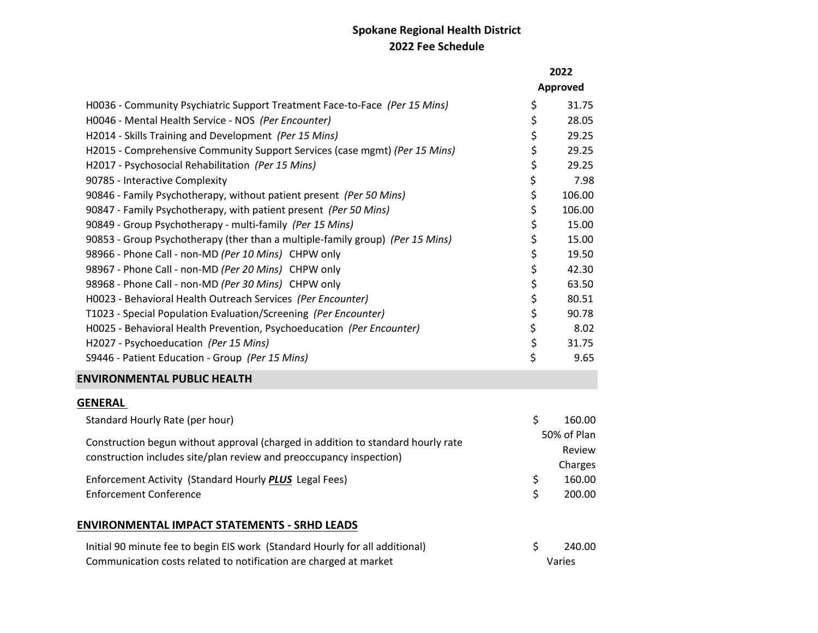|                                                                                  | 2022 |             |
|----------------------------------------------------------------------------------|------|-------------|
|                                                                                  |      | Approved    |
| H0036 - Community Psychiatric Support Treatment Face-to-Face (Per 15 Mins)       | \$   | 31.75       |
| H0046 - Mental Health Service - NOS (Per Encounter)                              | \$   | 28.05       |
| H2014 - Skills Training and Development (Per 15 Mins)                            | \$   | 29.25       |
| H2015 - Comprehensive Community Support Services (case mgmt) (Per 15 Mins)       | \$   | 29.25       |
| H2017 - Psychosocial Rehabilitation (Per 15 Mins)                                | \$   | 29.25       |
| 90785 - Interactive Complexity                                                   | \$   | 7.98        |
| 90846 - Family Psychotherapy, without patient present (Per 50 Mins)              | \$   | 106.00      |
| 90847 - Family Psychotherapy, with patient present (Per 50 Mins)                 | \$   | 106.00      |
| 90849 - Group Psychotherapy - multi-family (Per 15 Mins)                         | \$   | 15.00       |
| 90853 - Group Psychotherapy (ther than a multiple-family group) (Per 15 Mins)    | \$   | 15.00       |
| 98966 - Phone Call - non-MD (Per 10 Mins) CHPW only                              | \$   | 19.50       |
| 98967 - Phone Call - non-MD (Per 20 Mins) CHPW only                              | \$   | 42.30       |
| 98968 - Phone Call - non-MD (Per 30 Mins) CHPW only                              | \$   | 63.50       |
| H0023 - Behavioral Health Outreach Services (Per Encounter)                      | \$   | 80.51       |
| T1023 - Special Population Evaluation/Screening (Per Encounter)                  | \$   | 90.78       |
| H0025 - Behavioral Health Prevention, Psychoeducation (Per Encounter)            | \$   | 8.02        |
| H2027 - Psychoeducation (Per 15 Mins)                                            | \$   | 31.75       |
| S9446 - Patient Education - Group (Per 15 Mins)                                  | \$   | 9.65        |
| <b>ENVIRONMENTAL PUBLIC HEALTH</b>                                               |      |             |
| <b>GENERAL</b>                                                                   |      |             |
| Standard Hourly Rate (per hour)                                                  | \$   | 160.00      |
| Construction begun without approval (charged in addition to standard hourly rate |      | 50% of Plan |
| construction includes site/plan review and preoccupancy inspection)              |      | Review      |
|                                                                                  |      | Charges     |
| Enforcement Activity (Standard Hourly PLUS Legal Fees)                           | \$   | 160.00      |
| <b>Enforcement Conference</b>                                                    | \$   | 200.00      |
| <b>ENVIRONMENTAL IMPACT STATEMENTS - SRHD LEADS</b>                              |      |             |
| Initial 90 minute fee to begin EIS work (Standard Hourly for all additional)     | \$   | 240.00      |

Communication costs related to notification are charged at market Varies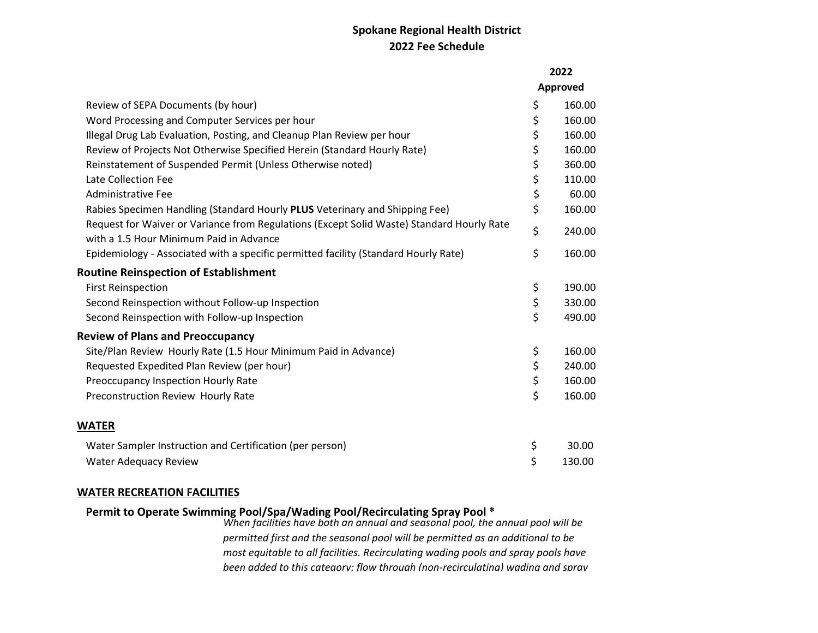|                                                                                                                                      | 2022 |          |
|--------------------------------------------------------------------------------------------------------------------------------------|------|----------|
|                                                                                                                                      |      | Approved |
| Review of SEPA Documents (by hour)                                                                                                   | \$   | 160.00   |
| Word Processing and Computer Services per hour                                                                                       | \$   | 160.00   |
| Illegal Drug Lab Evaluation, Posting, and Cleanup Plan Review per hour                                                               | \$   | 160.00   |
| Review of Projects Not Otherwise Specified Herein (Standard Hourly Rate)                                                             | \$   | 160.00   |
| Reinstatement of Suspended Permit (Unless Otherwise noted)                                                                           | \$   | 360.00   |
| Late Collection Fee                                                                                                                  | \$   | 110.00   |
| <b>Administrative Fee</b>                                                                                                            | \$   | 60.00    |
| Rabies Specimen Handling (Standard Hourly PLUS Veterinary and Shipping Fee)                                                          | \$   | 160.00   |
| Request for Waiver or Variance from Regulations (Except Solid Waste) Standard Hourly Rate<br>with a 1.5 Hour Minimum Paid in Advance | \$   | 240.00   |
| Epidemiology - Associated with a specific permitted facility (Standard Hourly Rate)                                                  | \$   | 160.00   |
| <b>Routine Reinspection of Establishment</b>                                                                                         |      |          |
| <b>First Reinspection</b>                                                                                                            | \$   | 190.00   |
| Second Reinspection without Follow-up Inspection                                                                                     | \$   | 330.00   |
| Second Reinspection with Follow-up Inspection                                                                                        | \$   | 490.00   |
| <b>Review of Plans and Preoccupancy</b>                                                                                              |      |          |
| Site/Plan Review Hourly Rate (1.5 Hour Minimum Paid in Advance)                                                                      | \$   | 160.00   |
| Requested Expedited Plan Review (per hour)                                                                                           | \$   | 240.00   |
| Preoccupancy Inspection Hourly Rate                                                                                                  | \$   | 160.00   |
| Preconstruction Review Hourly Rate                                                                                                   | \$   | 160.00   |
| WATER                                                                                                                                |      |          |
| Water Sampler Instruction and Certification (per person)                                                                             | \$   | 30.00    |
| Water Adequacy Review                                                                                                                | \$   | 130.00   |

#### **WATER RECREATION FACILITIES**

### **Permit to Operate Swimming Pool/Spa/Wading Pool/Recirculating Spray Pool \***

*When facilities have both an annual and seasonal pool, the annual pool will be permitted first and the seasonal pool will be permitted as an additional to be most equitable to all facilities. Recirculating wading pools and spray pools have been added to this category; flow through (non-recirculating) wading and spray*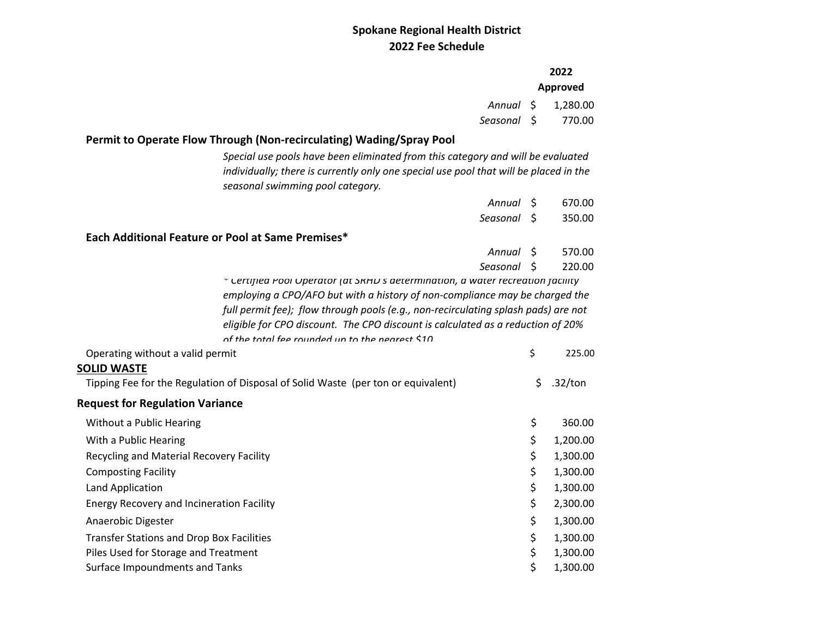|                                                                                                                                                                                                                                                                                                         | Annual \$<br>Seasonal \$ |    | 2022<br>Approved<br>1,280.00<br>770.00 |
|---------------------------------------------------------------------------------------------------------------------------------------------------------------------------------------------------------------------------------------------------------------------------------------------------------|--------------------------|----|----------------------------------------|
|                                                                                                                                                                                                                                                                                                         |                          |    |                                        |
| Permit to Operate Flow Through (Non-recirculating) Wading/Spray Pool                                                                                                                                                                                                                                    |                          |    |                                        |
| Special use pools have been eliminated from this category and will be evaluated<br>individually; there is currently only one special use pool that will be placed in the<br>seasonal swimming pool category.                                                                                            |                          |    |                                        |
|                                                                                                                                                                                                                                                                                                         | Annual S                 |    | 670.00                                 |
|                                                                                                                                                                                                                                                                                                         | Seasonal \$              |    | 350.00                                 |
| Each Additional Feature or Pool at Same Premises*                                                                                                                                                                                                                                                       |                          |    |                                        |
|                                                                                                                                                                                                                                                                                                         | Annual S                 |    | 570.00                                 |
|                                                                                                                                                                                                                                                                                                         | Seasonal                 | Ŝ  | 220.00                                 |
| employing a CPO/AFO but with a history of non-compliance may be charged the<br>full permit fee); flow through pools (e.g., non-recirculating splash pads) are not<br>eligible for CPO discount. The CPO discount is calculated as a reduction of 20%<br>of the total fee rounded un to the nearest \$10 |                          |    |                                        |
| Operating without a valid permit                                                                                                                                                                                                                                                                        |                          | \$ | 225.00                                 |
| <b>SOLID WASTE</b><br>Tipping Fee for the Regulation of Disposal of Solid Waste (per ton or equivalent)                                                                                                                                                                                                 |                          | \$ | .32/ton                                |
| <b>Request for Regulation Variance</b>                                                                                                                                                                                                                                                                  |                          |    |                                        |
| Without a Public Hearing                                                                                                                                                                                                                                                                                |                          | \$ | 360.00                                 |
| With a Public Hearing                                                                                                                                                                                                                                                                                   |                          | \$ | 1,200.00                               |
| Recycling and Material Recovery Facility                                                                                                                                                                                                                                                                |                          | \$ | 1,300.00                               |
| <b>Composting Facility</b>                                                                                                                                                                                                                                                                              |                          | \$ | 1,300.00                               |
| Land Application                                                                                                                                                                                                                                                                                        |                          | \$ | 1,300.00                               |
| <b>Energy Recovery and Incineration Facility</b>                                                                                                                                                                                                                                                        |                          | \$ | 2,300.00                               |
| Anaerobic Digester                                                                                                                                                                                                                                                                                      |                          | \$ | 1,300.00                               |
| <b>Transfer Stations and Drop Box Facilities</b>                                                                                                                                                                                                                                                        |                          | \$ | 1,300.00                               |
| Piles Used for Storage and Treatment                                                                                                                                                                                                                                                                    |                          | \$ | 1,300.00                               |
| Surface Impoundments and Tanks                                                                                                                                                                                                                                                                          |                          | \$ | 1,300.00                               |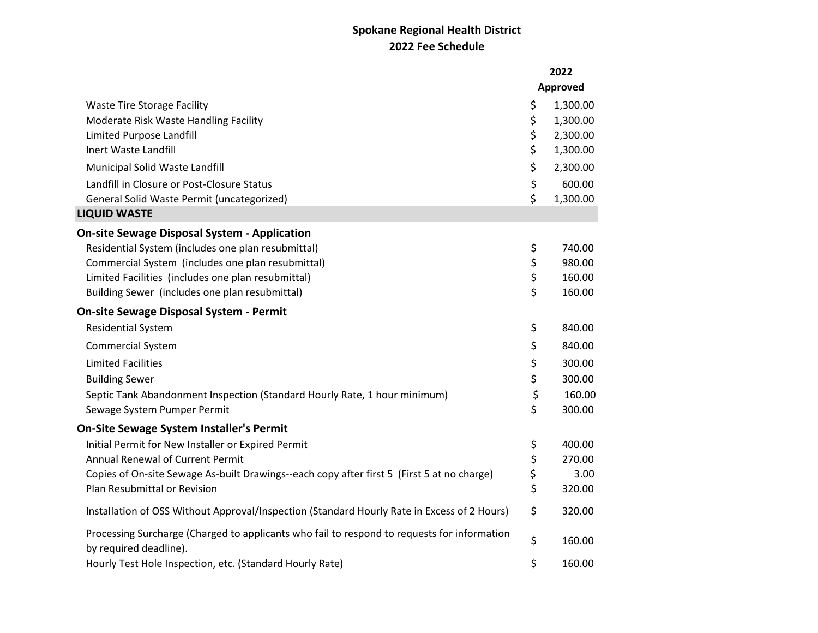|                                                                                                                       | 2022           |
|-----------------------------------------------------------------------------------------------------------------------|----------------|
|                                                                                                                       | Approved       |
| <b>Waste Tire Storage Facility</b>                                                                                    | \$<br>1,300.00 |
| Moderate Risk Waste Handling Facility                                                                                 | \$<br>1,300.00 |
| Limited Purpose Landfill                                                                                              | \$<br>2,300.00 |
| Inert Waste Landfill                                                                                                  | \$<br>1,300.00 |
| Municipal Solid Waste Landfill                                                                                        | \$<br>2,300.00 |
| Landfill in Closure or Post-Closure Status                                                                            | \$<br>600.00   |
| General Solid Waste Permit (uncategorized)                                                                            | \$<br>1,300.00 |
| <b>LIQUID WASTE</b>                                                                                                   |                |
| <b>On-site Sewage Disposal System - Application</b>                                                                   |                |
| Residential System (includes one plan resubmittal)                                                                    | \$<br>740.00   |
| Commercial System (includes one plan resubmittal)                                                                     | \$<br>980.00   |
| Limited Facilities (includes one plan resubmittal)                                                                    | \$<br>160.00   |
| Building Sewer (includes one plan resubmittal)                                                                        | \$<br>160.00   |
| <b>On-site Sewage Disposal System - Permit</b>                                                                        |                |
| <b>Residential System</b>                                                                                             | \$<br>840.00   |
| Commercial System                                                                                                     | \$<br>840.00   |
| <b>Limited Facilities</b>                                                                                             | \$<br>300.00   |
| <b>Building Sewer</b>                                                                                                 | \$<br>300.00   |
| Septic Tank Abandonment Inspection (Standard Hourly Rate, 1 hour minimum)                                             | \$<br>160.00   |
| Sewage System Pumper Permit                                                                                           | \$<br>300.00   |
| <b>On-Site Sewage System Installer's Permit</b>                                                                       |                |
| Initial Permit for New Installer or Expired Permit                                                                    | \$<br>400.00   |
| Annual Renewal of Current Permit                                                                                      | \$<br>270.00   |
| Copies of On-site Sewage As-built Drawings--each copy after first 5 (First 5 at no charge)                            | \$<br>3.00     |
| Plan Resubmittal or Revision                                                                                          | \$<br>320.00   |
| Installation of OSS Without Approval/Inspection (Standard Hourly Rate in Excess of 2 Hours)                           | \$<br>320.00   |
| Processing Surcharge (Charged to applicants who fail to respond to requests for information<br>by required deadline). | \$<br>160.00   |
| Hourly Test Hole Inspection, etc. (Standard Hourly Rate)                                                              | \$<br>160.00   |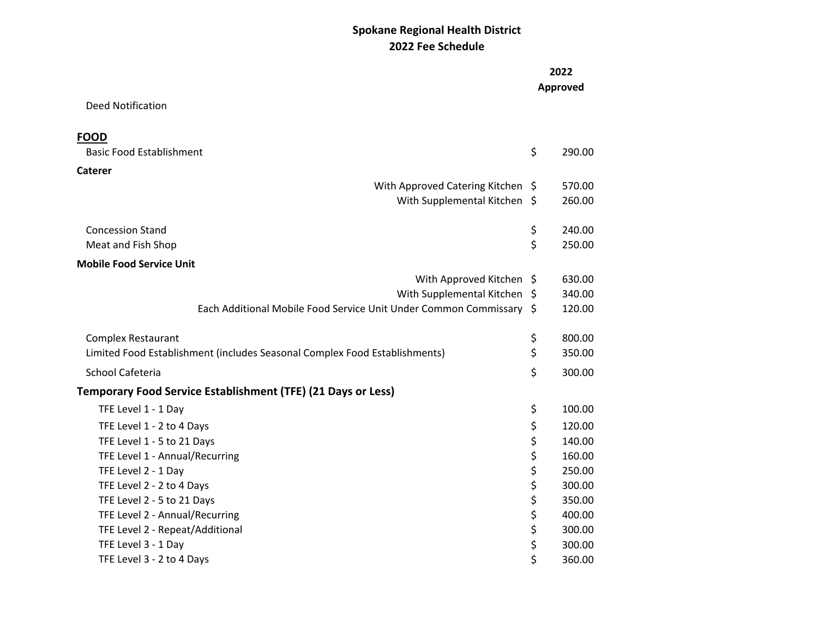|                                                                            | 2022<br>Approved |
|----------------------------------------------------------------------------|------------------|
| <b>Deed Notification</b>                                                   |                  |
| <b>FOOD</b>                                                                |                  |
| <b>Basic Food Establishment</b>                                            | \$<br>290.00     |
| Caterer                                                                    |                  |
| With Approved Catering Kitchen \$                                          | 570.00           |
| With Supplemental Kitchen \$                                               | 260.00           |
| <b>Concession Stand</b>                                                    | \$<br>240.00     |
| Meat and Fish Shop                                                         | \$<br>250.00     |
| <b>Mobile Food Service Unit</b>                                            |                  |
| With Approved Kitchen \$                                                   | 630.00           |
| With Supplemental Kitchen \$                                               | 340.00           |
| Each Additional Mobile Food Service Unit Under Common Commissary \$        | 120.00           |
| <b>Complex Restaurant</b>                                                  | \$<br>800.00     |
| Limited Food Establishment (includes Seasonal Complex Food Establishments) | \$<br>350.00     |
| School Cafeteria                                                           | \$<br>300.00     |
| <b>Temporary Food Service Establishment (TFE) (21 Days or Less)</b>        |                  |
| TFE Level 1 - 1 Day                                                        | \$<br>100.00     |
| TFE Level 1 - 2 to 4 Days                                                  | \$<br>120.00     |
| TFE Level 1 - 5 to 21 Days                                                 | \$<br>140.00     |
| TFE Level 1 - Annual/Recurring                                             | \$<br>160.00     |
| TFE Level 2 - 1 Day                                                        | \$<br>250.00     |
| TFE Level 2 - 2 to 4 Days                                                  | \$<br>300.00     |
| TFE Level 2 - 5 to 21 Days                                                 | \$<br>350.00     |
| TFE Level 2 - Annual/Recurring                                             | \$<br>400.00     |
| TFE Level 2 - Repeat/Additional                                            | \$<br>300.00     |
| TFE Level 3 - 1 Day                                                        | \$<br>300.00     |
| TFE Level 3 - 2 to 4 Days                                                  | \$<br>360.00     |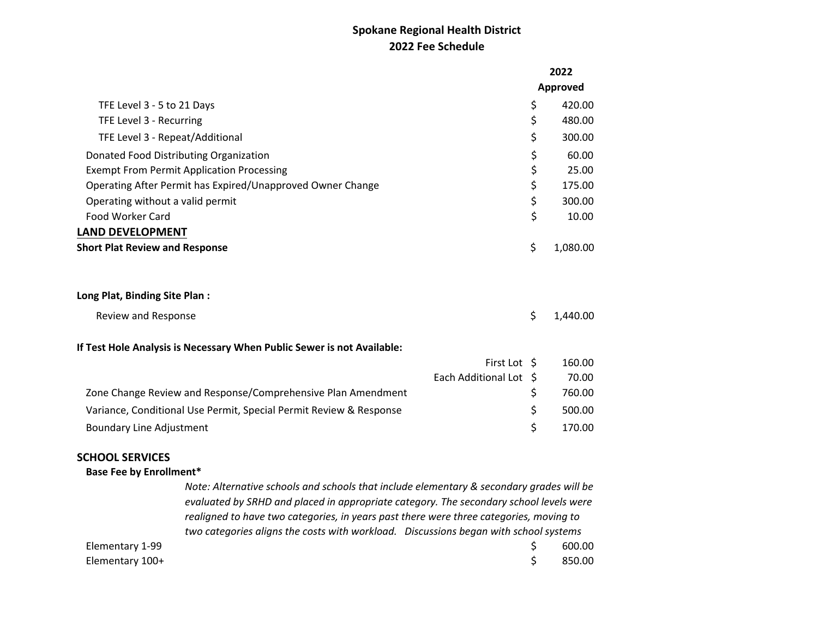|                                                                                                                                                                                                                                                                                                                                                                      |                 | 2022     |  |  |
|----------------------------------------------------------------------------------------------------------------------------------------------------------------------------------------------------------------------------------------------------------------------------------------------------------------------------------------------------------------------|-----------------|----------|--|--|
|                                                                                                                                                                                                                                                                                                                                                                      | <b>Approved</b> |          |  |  |
| TFE Level 3 - 5 to 21 Days                                                                                                                                                                                                                                                                                                                                           | \$              | 420.00   |  |  |
| TFE Level 3 - Recurring                                                                                                                                                                                                                                                                                                                                              | \$              | 480.00   |  |  |
| TFE Level 3 - Repeat/Additional                                                                                                                                                                                                                                                                                                                                      | \$              | 300.00   |  |  |
| Donated Food Distributing Organization                                                                                                                                                                                                                                                                                                                               | \$              | 60.00    |  |  |
| <b>Exempt From Permit Application Processing</b>                                                                                                                                                                                                                                                                                                                     | \$              | 25.00    |  |  |
| Operating After Permit has Expired/Unapproved Owner Change                                                                                                                                                                                                                                                                                                           | \$              | 175.00   |  |  |
| Operating without a valid permit                                                                                                                                                                                                                                                                                                                                     | \$              | 300.00   |  |  |
| <b>Food Worker Card</b>                                                                                                                                                                                                                                                                                                                                              | \$              | 10.00    |  |  |
| <b>LAND DEVELOPMENT</b>                                                                                                                                                                                                                                                                                                                                              |                 |          |  |  |
| <b>Short Plat Review and Response</b>                                                                                                                                                                                                                                                                                                                                | \$              | 1,080.00 |  |  |
| Long Plat, Binding Site Plan :                                                                                                                                                                                                                                                                                                                                       |                 |          |  |  |
| Review and Response                                                                                                                                                                                                                                                                                                                                                  | \$              | 1,440.00 |  |  |
| If Test Hole Analysis is Necessary When Public Sewer is not Available:                                                                                                                                                                                                                                                                                               |                 |          |  |  |
|                                                                                                                                                                                                                                                                                                                                                                      | First Lot \$    | 160.00   |  |  |
| Each Additional Lot \$                                                                                                                                                                                                                                                                                                                                               |                 | 70.00    |  |  |
| Zone Change Review and Response/Comprehensive Plan Amendment                                                                                                                                                                                                                                                                                                         | \$              | 760.00   |  |  |
| Variance, Conditional Use Permit, Special Permit Review & Response                                                                                                                                                                                                                                                                                                   | \$              | 500.00   |  |  |
| <b>Boundary Line Adjustment</b>                                                                                                                                                                                                                                                                                                                                      | \$              | 170.00   |  |  |
| <b>SCHOOL SERVICES</b>                                                                                                                                                                                                                                                                                                                                               |                 |          |  |  |
| <b>Base Fee by Enrollment*</b>                                                                                                                                                                                                                                                                                                                                       |                 |          |  |  |
| Note: Alternative schools and schools that include elementary & secondary grades will be<br>evaluated by SRHD and placed in appropriate category. The secondary school levels were<br>realigned to have two categories, in years past there were three categories, moving to<br>two categories aligns the costs with workload. Discussions began with school systems |                 |          |  |  |
| Elementary 1-99                                                                                                                                                                                                                                                                                                                                                      | \$              | 600.00   |  |  |
| Elementary 100+                                                                                                                                                                                                                                                                                                                                                      | \$              | 850.00   |  |  |